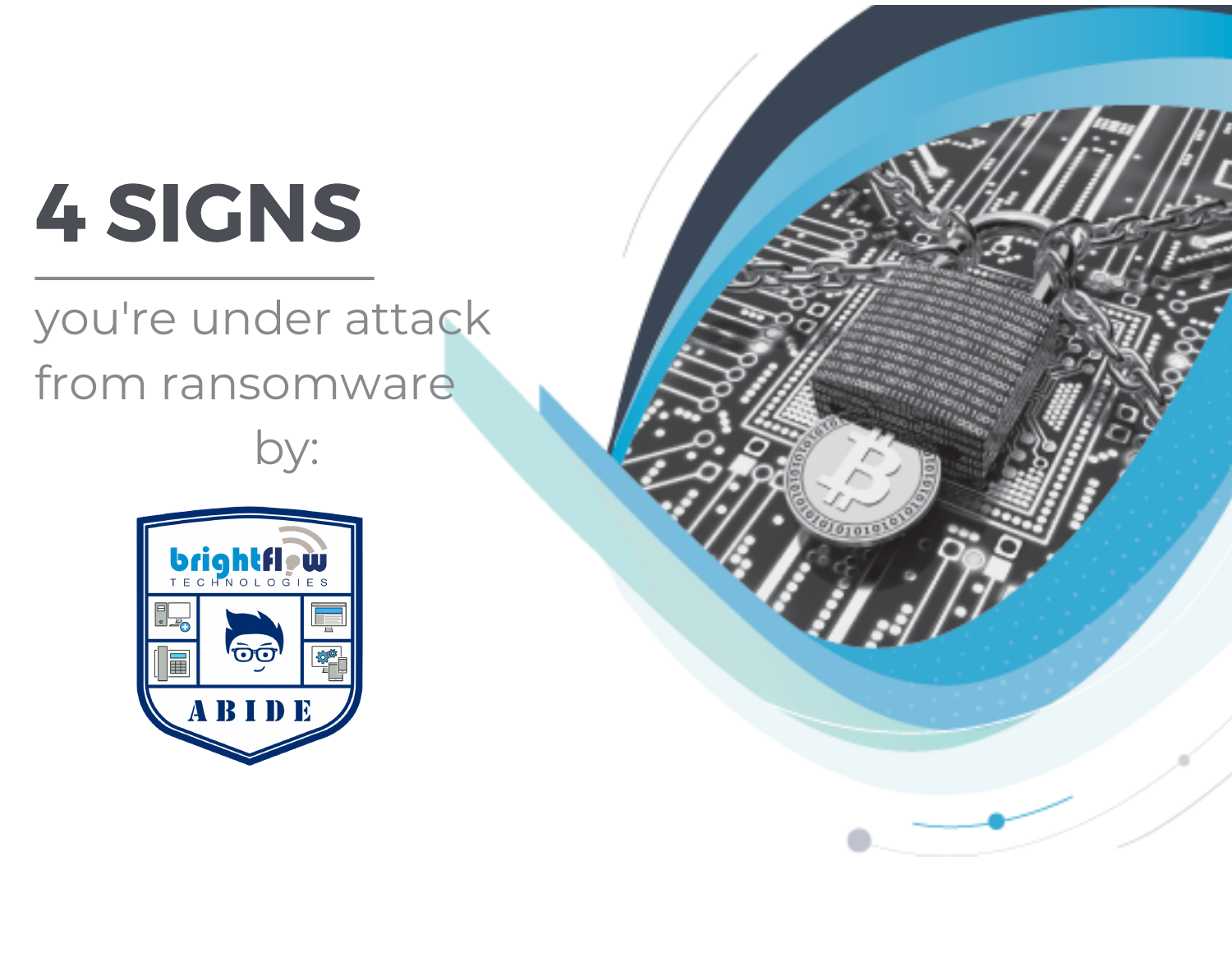# 4 SIGNS

## you're under attack from ransomware by:



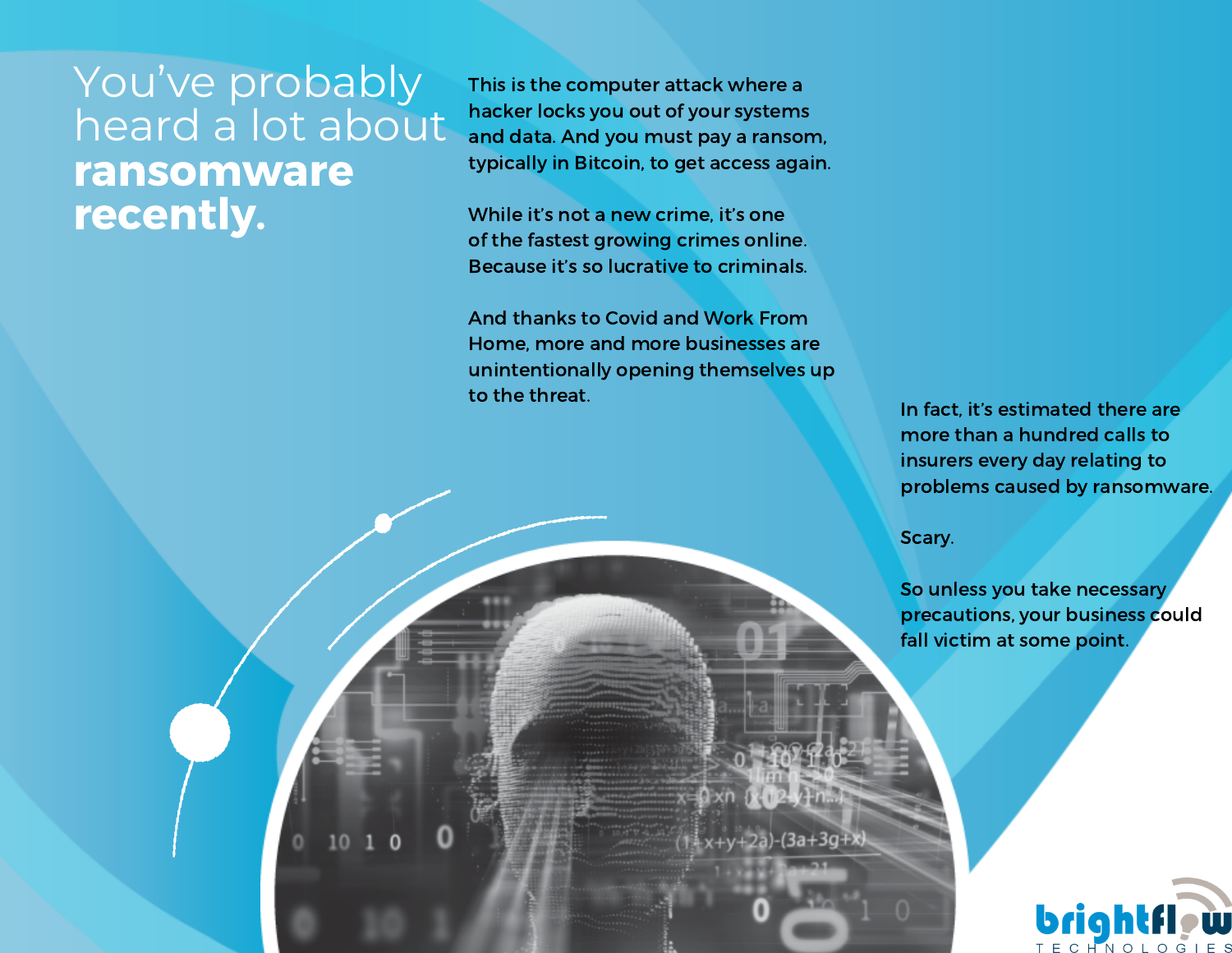#### You've probably heard a lot about ransomware recently.

This is the computer attack where a hacker locks you out of your systems and data. And you must pay a ransom, typically in Bitcoin, to get access again.

While it's not a new crime, it's one of the fastest growing crimes online. Because it's so lucrative to criminals.

And thanks to Covid and Work From Home, more and more businesses are unintentionally opening themselves up to the threat.

In fact, it's estimated there are more than a hundred calls to insurers every day relating to problems caused by ransomware.

Scary.

 $x+y+2a$ )-(3a+3g+x)

So unless you take necessary precautions, your business could fall victim at some point.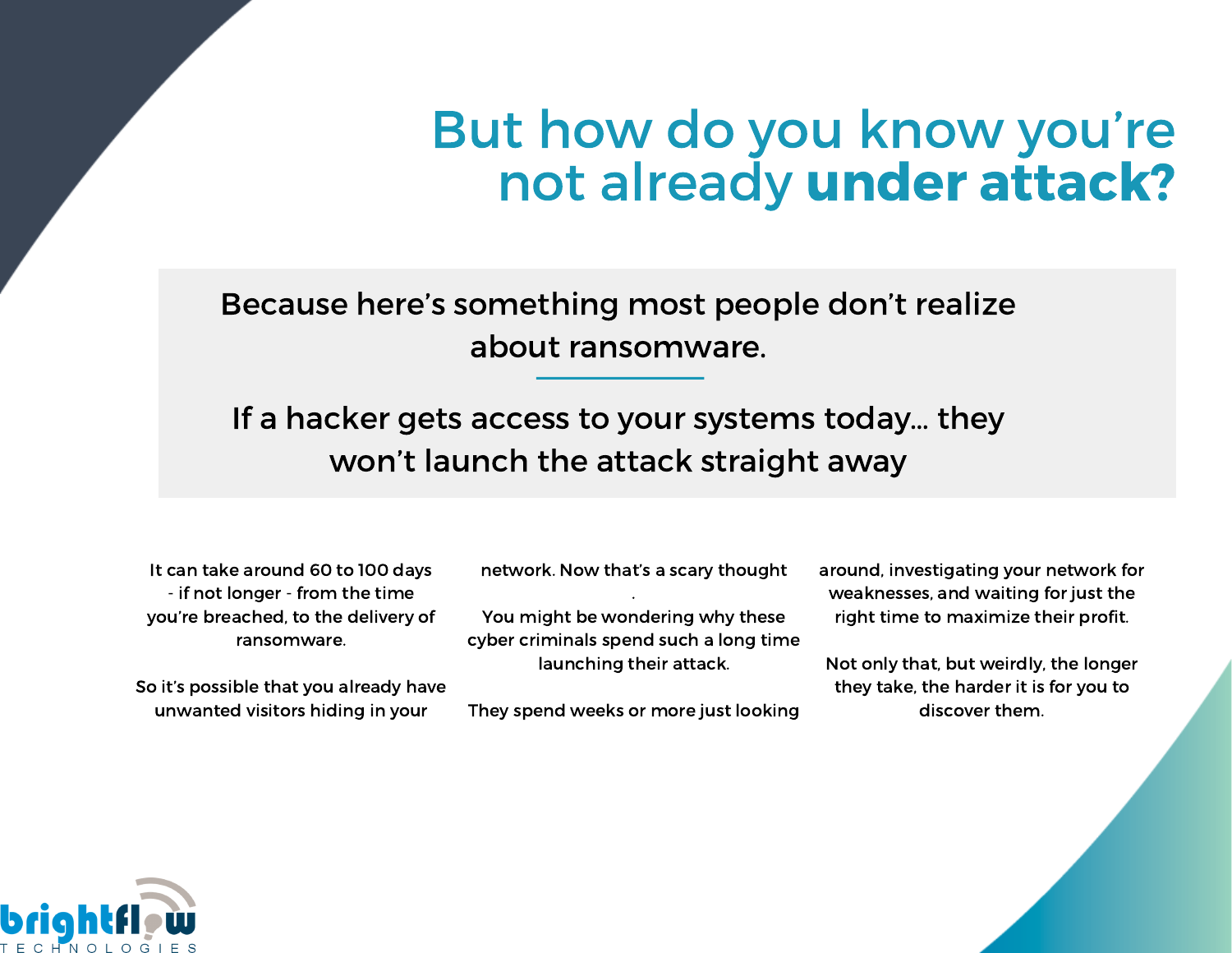## But how do you know you're not already under attack?

Because here's something most people don't realize about ransomware.

If a hacker gets access to your systems today… they won't launch the attack straight away

It can take around 60 to 100 days - if not longer - from the time you're breached, to the delivery of ransomware.

So it's possible that you already have unwanted visitors hiding in your

network. Now that's a scary thought .

You might be wondering why these cyber criminals spend such a long time launching their attack.

They spend weeks or more just looking

around, investigating your network for weaknesses, and waiting for just the right time to maximize their profit.

Not only that, but weirdly, the longer they take, the harder it is for you to discover them.

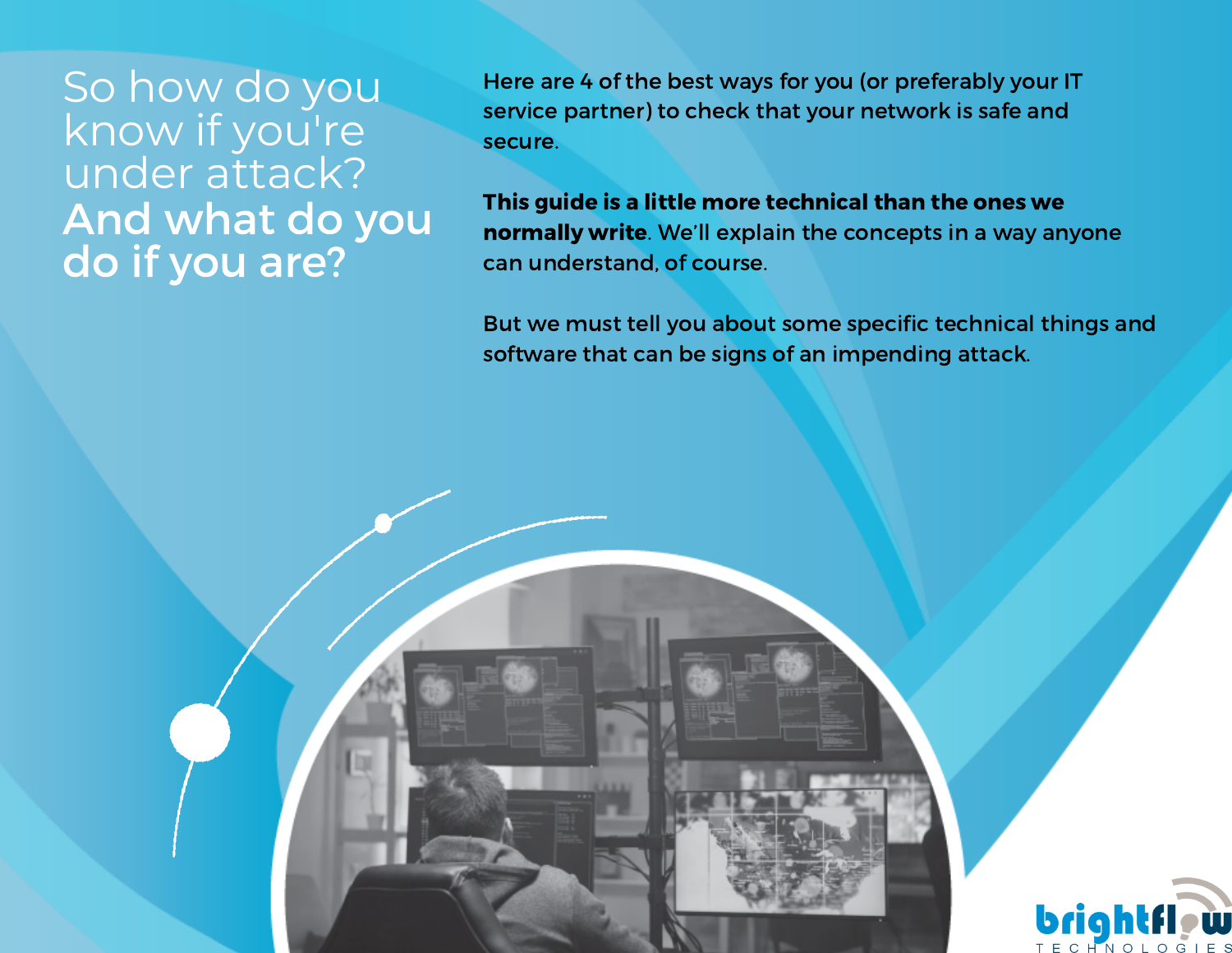So how do you know if you're under attack? And what do you do if you are?

Here are 4 of the best ways for you (or preferably your IT service partner) to check that your network is safe and secure.

This guide is a little more technical than the ones we normally write. We'll explain the concepts in a way anyone can understand, of course.

But we must tell you about some specific technical things and software that can be signs of an impending attack.

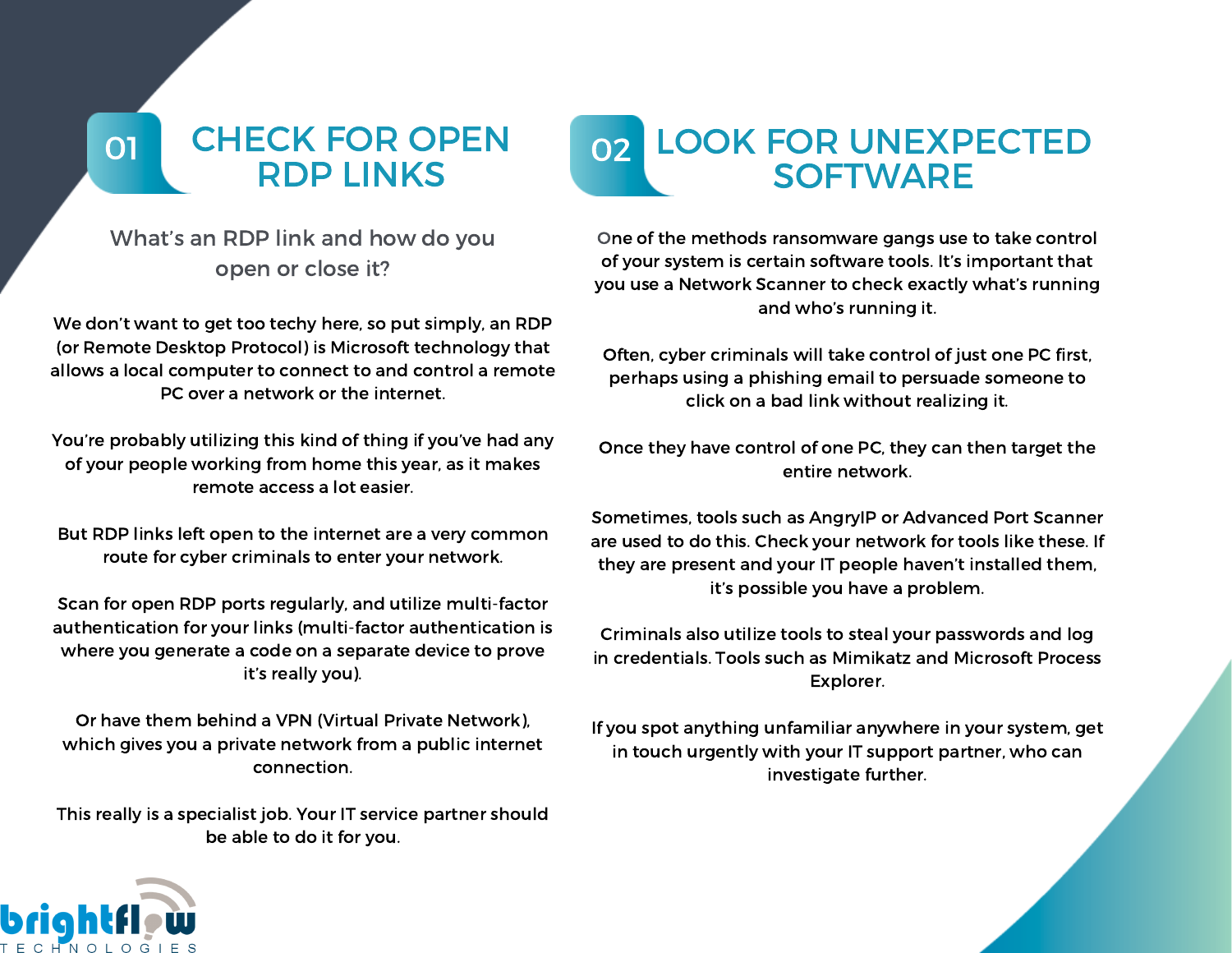#### 01 CHECK FOR OPEN RDP LINKS

#### What's an RDP link and how do you open or close it?

We don't want to get too techy here, so put simply, an RDP (or Remote Desktop Protocol) is Microsoft technology that allows a local computer to connect to and control a remote PC over a network or the internet.

You're probably utilizing this kind of thing if you've had any of your people working from home this year, as it makes remote access a lot easier.

But RDP links left open to the internet are a very common route for cyber criminals to enter your network.

Scan for open RDP ports regularly, and utilize multi-factor authentication for your links (multi-factor authentication is where you generate a code on a separate device to prove it's really you).

Or have them behind a VPN (Virtual Private Network), which gives you a private network from a public internet connection.

This really is a specialist job. Your IT service partner should be able to do it for you.

#### 02 LOOK FOR UNEXPECTED **SOFTWARE**

One of the methods ransomware gangs use to take control of your system is certain software tools. It's important that you use a Network Scanner to check exactly what's running and who's running it.

Often, cyber criminals will take control of just one PC first, perhaps using a phishing email to persuade someone to click on a bad link without realizing it.

Once they have control of one PC, they can then target the entire network.

Sometimes, tools such as AngryIP or Advanced Port Scanner are used to do this. Check your network for tools like these. If they are present and your IT people haven't installed them, it's possible you have a problem.

Criminals also utilize tools to steal your passwords and log in credentials. Tools such as Mimikatz and Microsoft Process Explorer.

If you spot anything unfamiliar anywhere in your system, get in touch urgently with your IT support partner, who can investigate further.

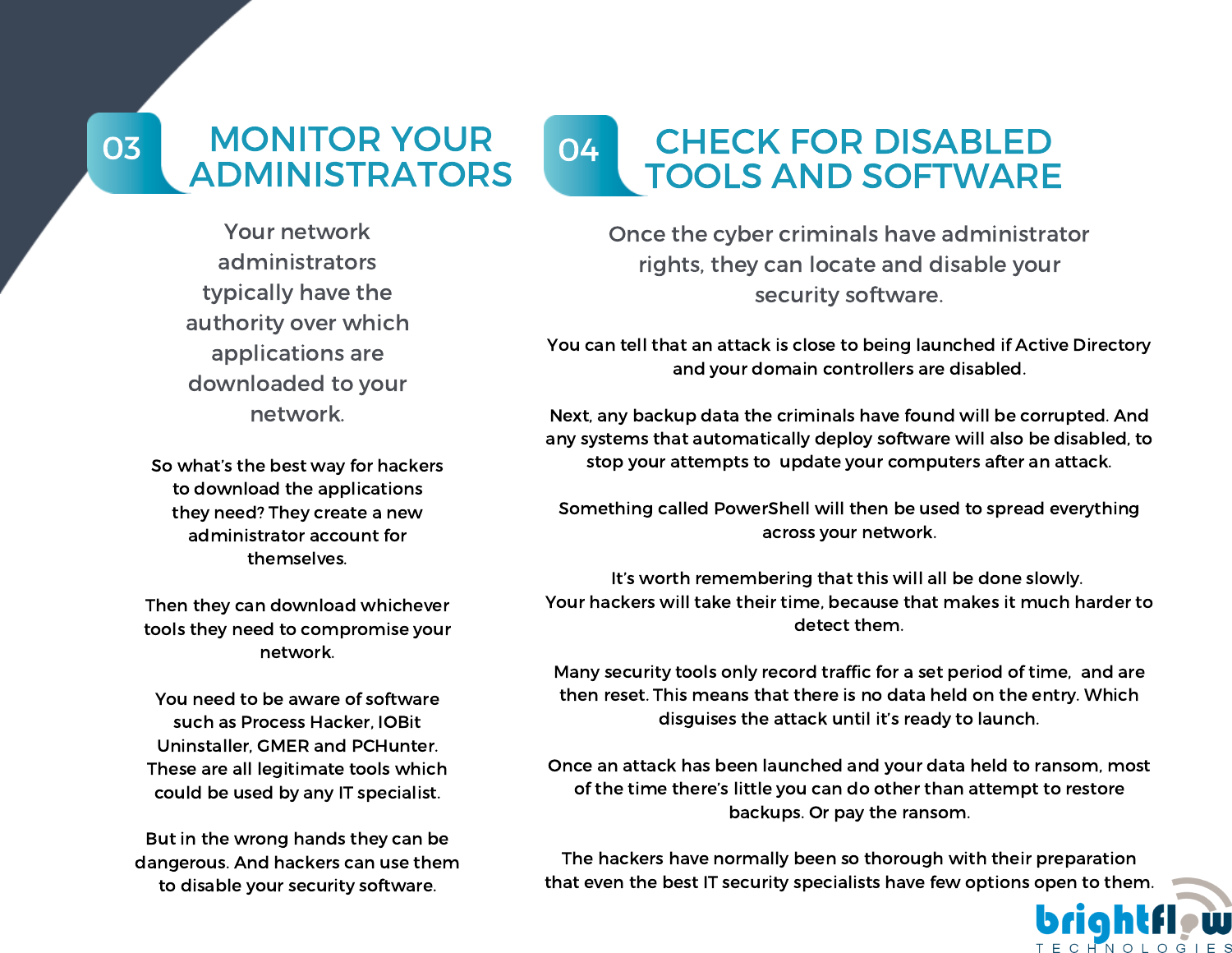#### 03 MONITOR YOUR ADMINISTRATORS

#### 04 CHECK FOR DISABLED TOOLS AND SOFTWARE

Your network administrators typically have the authority over which applications are downloaded to your network.

So what's the best way for hackers to download the applications they need? They create a new administrator account for themselves.

Then they can download whichever tools they need to compromise your network.

You need to be aware of software such as Process Hacker, IOBit Uninstaller, GMER and PCHunter. These are all legitimate tools which could be used by any IT specialist.

But in the wrong hands they can be dangerous. And hackers can use them to disable your security software.

Once the cyber criminals have administrator rights, they can locate and disable your security software.

You can tell that an attack is close to being launched if Active Directory and your domain controllers are disabled.

Next, any backup data the criminals have found will be corrupted. And any systems that automatically deploy software will also be disabled, to stop your attempts to update your computers after an attack.

Something called PowerShell will then be used to spread everything across your network.

It's worth remembering that this will all be done slowly. Your hackers will take their time, because that makes it much harder to detect them.

Many security tools only record traffic for a set period of time, and are then reset. This means that there is no data held on the entry. Which disguises the attack until it's ready to launch.

Once an attack has been launched and your data held to ransom, most of the time there's little you can do other than attempt to restore backups. Or pay the ransom.

The hackers have normally been so thorough with their preparation that even the best IT security specialists have few options open to them.

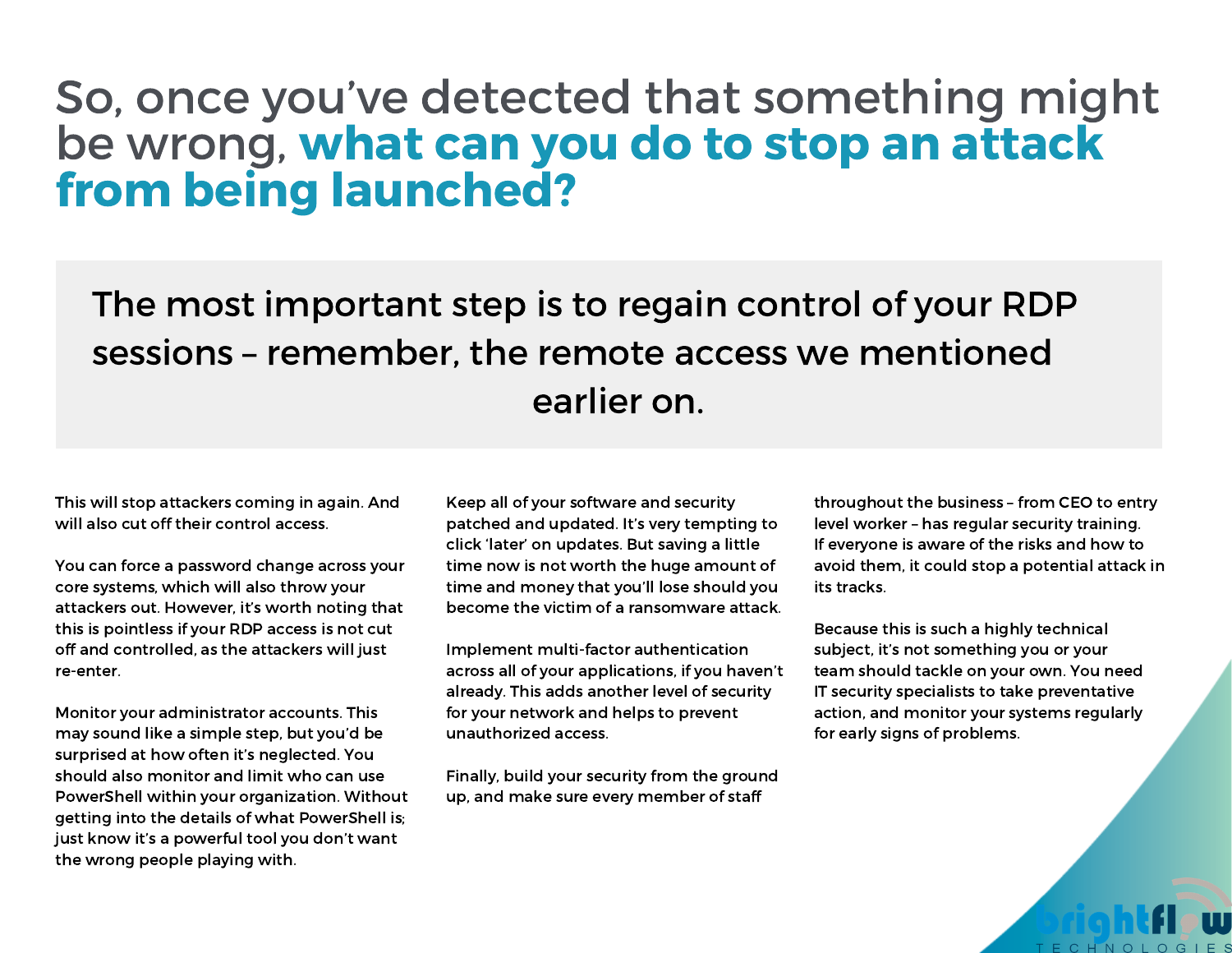### So, once you've detected that something might be wrong, what can you do to stop an attack from being launched?

The most important step is to regain control of your RDP sessions – remember, the remote access we mentioned earlier on.

This will stop attackers coming in again. And will also cut off their control access.

You can force a password change across your core systems, which will also throw your attackers out. However, it's worth noting that this is pointless if your RDP access is not cut off and controlled, as the attackers will just re-enter.

Monitor your administrator accounts. This may sound like a simple step, but you'd be surprised at how often it's neglected. You should also monitor and limit who can use PowerShell within your organization. Without getting into the details of what PowerShell is; just know it's a powerful tool you don't want the wrong people playing with.

Keep all of your software and security patched and updated. It's very tempting to click 'later' on updates. But saving a little time now is not worth the huge amount of time and money that you'll lose should you become the victim of a ransomware attack.

Implement multi-factor authentication across all of your applications, if you haven't already. This adds another level of security for your network and helps to prevent unauthorized access.

Finally, build your security from the ground up, and make sure every member of staff

throughout the business – from CEO to entry level worker – has regular security training. If everyone is aware of the risks and how to avoid them, it could stop a potential attack in its tracks.

Because this is such a highly technical subject, it's not something you or your team should tackle on your own. You need IT security specialists to take preventative action, and monitor your systems regularly for early signs of problems.